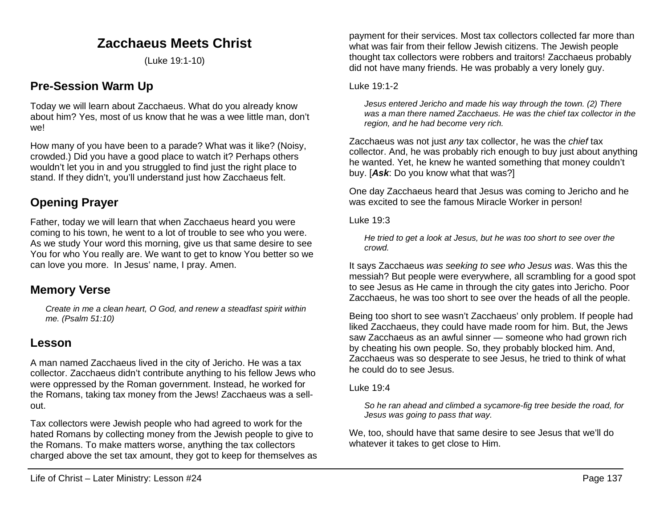# **Zacchaeus Meets Christ**

(Luke 19:1-10)

# **Pre-Session Warm Up**

Today we will learn about Zacchaeus. What do you already know about him? Yes, most of us know that he was a wee little man, don't we!

How many of you have been to a parade? What was it like? (Noisy, crowded.) Did you have a good place to watch it? Perhaps others wouldn't let you in and you struggled to find just the right place to stand. If they didn't, you'll understand just how Zacchaeus felt.

# **Opening Prayer**

Father, today we will learn that when Zacchaeus heard you were coming to his town, he went to a lot of trouble to see who you were. As we study Your word this morning, give us that same desire to see You for who You really are. We want to get to know You better so we can love you more. In Jesus' name, I pray. Amen.

### **Memory Verse**

*Create in me a clean heart, O God, and renew a steadfast spirit within me. (Psalm 51:10)*

### **Lesson**

A man named Zacchaeus lived in the city of Jericho. He was a tax collector. Zacchaeus didn't contribute anything to his fellow Jews who were oppressed by the Roman government. Instead, he worked for the Romans, taking tax money from the Jews! Zacchaeus was a sellout.

Tax collectors were Jewish people who had agreed to work for the hated Romans by collecting money from the Jewish people to give to the Romans. To make matters worse, anything the tax collectors charged above the set tax amount, they got to keep for themselves as

payment for their services. Most tax collectors collected far more than what was fair from their fellow Jewish citizens. The Jewish people thought tax collectors were robbers and traitors! Zacchaeus probably did not have many friends. He was probably a very lonely guy.

#### Luke 19:1-2

*Jesus entered Jericho and made his way through the town. (2) There was a man there named Zacchaeus. He was the chief tax collector in the region, and he had become very rich.*

Zacchaeus was not just *any* tax collector, he was the *chief* tax collector. And, he was probably rich enough to buy just about anything he wanted. Yet, he knew he wanted something that money couldn't buy. [*Ask*: Do you know what that was?]

One day Zacchaeus heard that Jesus was coming to Jericho and he was excited to see the famous Miracle Worker in person!

Luke 19:3

*He tried to get a look at Jesus, but he was too short to see over the crowd.*

It says Zacchaeus *was seeking to see who Jesus was*. Was this the messiah? But people were everywhere, all scrambling for a good spot to see Jesus as He came in through the city gates into Jericho. Poor Zacchaeus, he was too short to see over the heads of all the people.

Being too short to see wasn't Zacchaeus' only problem. If people had liked Zacchaeus, they could have made room for him. But, the Jews saw Zacchaeus as an awful sinner — someone who had grown rich by cheating his own people. So, they probably blocked him. And, Zacchaeus was so desperate to see Jesus, he tried to think of what he could do to see Jesus.

#### Luke 19:4

*So he ran ahead and climbed a sycamore-fig tree beside the road, for Jesus was going to pass that way.*

We, too, should have that same desire to see Jesus that we'll do whatever it takes to get close to Him.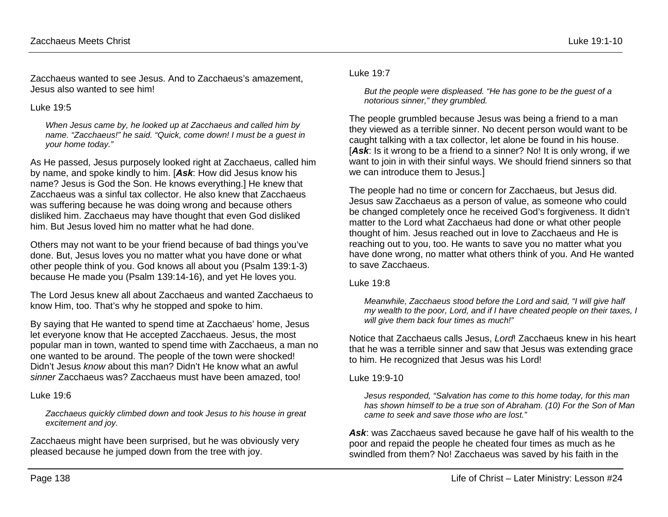Zacchaeus wanted to see Jesus. And to Zacchaeus's amazement, Jesus also wanted to see him!

#### Luke 19:5

*When Jesus came by, he looked up at Zacchaeus and called him by name. "Zacchaeus!" he said. "Quick, come down! I must be a guest in your home today."*

As He passed, Jesus purposely looked right at Zacchaeus, called him by name, and spoke kindly to him. [*Ask*: How did Jesus know his name? Jesus is God the Son. He knows everything.] He knew that Zacchaeus was a sinful tax collector. He also knew that Zacchaeus was suffering because he was doing wrong and because others disliked him. Zacchaeus may have thought that even God disliked him. But Jesus loved him no matter what he had done.

Others may not want to be your friend because of bad things you've done. But, Jesus loves you no matter what you have done or what other people think of you. God knows all about you (Psalm 139:1-3) because He made you (Psalm 139:14-16), and yet He loves you.

The Lord Jesus knew all about Zacchaeus and wanted Zacchaeus to know Him, too. That's why he stopped and spoke to him.

By saying that He wanted to spend time at Zacchaeus' home, Jesus let everyone know that He accepted Zacchaeus. Jesus, the most popular man in town, wanted to spend time with Zacchaeus, a man no one wanted to be around. The people of the town were shocked! Didn't Jesus *know* about this man? Didn't He know what an awful *sinner* Zacchaeus was? Zacchaeus must have been amazed, too!

#### Luke 19:6

*Zacchaeus quickly climbed down and took Jesus to his house in great excitement and joy.*

Zacchaeus might have been surprised, but he was obviously very pleased because he jumped down from the tree with joy.

#### Luke 19:7

*But the people were displeased. "He has gone to be the guest of a notorious sinner," they grumbled.*

The people grumbled because Jesus was being a friend to a man they viewed as a terrible sinner. No decent person would want to be caught talking with a tax collector, let alone be found in his house. [Ask: Is it wrong to be a friend to a sinner? No! It is only wrong, if we want to join in with their sinful ways. We should friend sinners so that we can introduce them to Jesus.]

The people had no time or concern for Zacchaeus, but Jesus did. Jesus saw Zacchaeus as a person of value, as someone who could be changed completely once he received God's forgiveness. It didn't matter to the Lord what Zacchaeus had done or what other people thought of him. Jesus reached out in love to Zacchaeus and He is reaching out to you, too. He wants to save you no matter what you have done wrong, no matter what others think of you. And He wanted to save Zacchaeus.

#### Luke 19:8

*Meanwhile, Zacchaeus stood before the Lord and said, "I will give half my wealth to the poor, Lord, and if I have cheated people on their taxes, I will give them back four times as much!"*

Notice that Zacchaeus calls Jesus, *Lord*! Zacchaeus knew in his heart that he was a terrible sinner and saw that Jesus was extending grace to him. He recognized that Jesus was his Lord!

#### Luke 19:9-10

*Jesus responded, "Salvation has come to this home today, for this man has shown himself to be a true son of Abraham. (10) For the Son of Man came to seek and save those who are lost."*

*Ask*: was Zacchaeus saved because he gave half of his wealth to the poor and repaid the people he cheated four times as much as he swindled from them? No! Zacchaeus was saved by his faith in the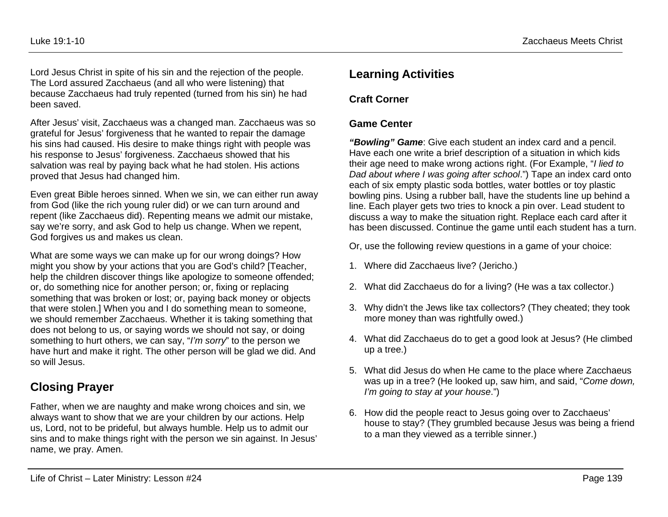Lord Jesus Christ in spite of his sin and the rejection of the people. The Lord assured Zacchaeus (and all who were listening) that because Zacchaeus had truly repented (turned from his sin) he had been saved.

After Jesus' visit, Zacchaeus was a changed man. Zacchaeus was so grateful for Jesus' forgiveness that he wanted to repair the damage his sins had caused. His desire to make things right with people was his response to Jesus' forgiveness. Zacchaeus showed that his salvation was real by paying back what he had stolen. His actions proved that Jesus had changed him.

Even great Bible heroes sinned. When we sin, we can either run away from God (like the rich young ruler did) or we can turn around and repent (like Zacchaeus did). Repenting means we admit our mistake, say we're sorry, and ask God to help us change. When we repent, God forgives us and makes us clean.

What are some ways we can make up for our wrong doings? How might you show by your actions that you are God's child? [Teacher, help the children discover things like apologize to someone offended; or, do something nice for another person; or, fixing or replacing something that was broken or lost; or, paying back money or objects that were stolen.] When you and I do something mean to someone, we should remember Zacchaeus. Whether it is taking something that does not belong to us, or saying words we should not say, or doing something to hurt others, we can say, "*I'm sorry*" to the person we have hurt and make it right. The other person will be glad we did. And so will Jesus.

# **Closing Prayer**

Father, when we are naughty and make wrong choices and sin, we always want to show that we are your children by our actions. Help us, Lord, not to be prideful, but always humble. Help us to admit our sins and to make things right with the person we sin against. In Jesus' name, we pray. Amen.

# **Learning Activities**

### **Craft Corner**

### **Game Center**

*"Bowling" Game*: Give each student an index card and a pencil. Have each one write a brief description of a situation in which kids their age need to make wrong actions right. (For Example, "*I lied to Dad about where I was going after school*.") Tape an index card onto each of six empty plastic soda bottles, water bottles or toy plastic bowling pins. Using a rubber ball, have the students line up behind a line. Each player gets two tries to knock a pin over. Lead student to discuss a way to make the situation right. Replace each card after it has been discussed. Continue the game until each student has a turn.

Or, use the following review questions in a game of your choice:

- 1. Where did Zacchaeus live? (Jericho.)
- 2. What did Zacchaeus do for a living? (He was a tax collector.)
- 3. Why didn't the Jews like tax collectors? (They cheated; they took more money than was rightfully owed.)
- 4. What did Zacchaeus do to get a good look at Jesus? (He climbed up a tree.)
- 5. What did Jesus do when He came to the place where Zacchaeus was up in a tree? (He looked up, saw him, and said, "*Come down, I'm going to stay at your house*.")
- 6. How did the people react to Jesus going over to Zacchaeus' house to stay? (They grumbled because Jesus was being a friend to a man they viewed as a terrible sinner.)